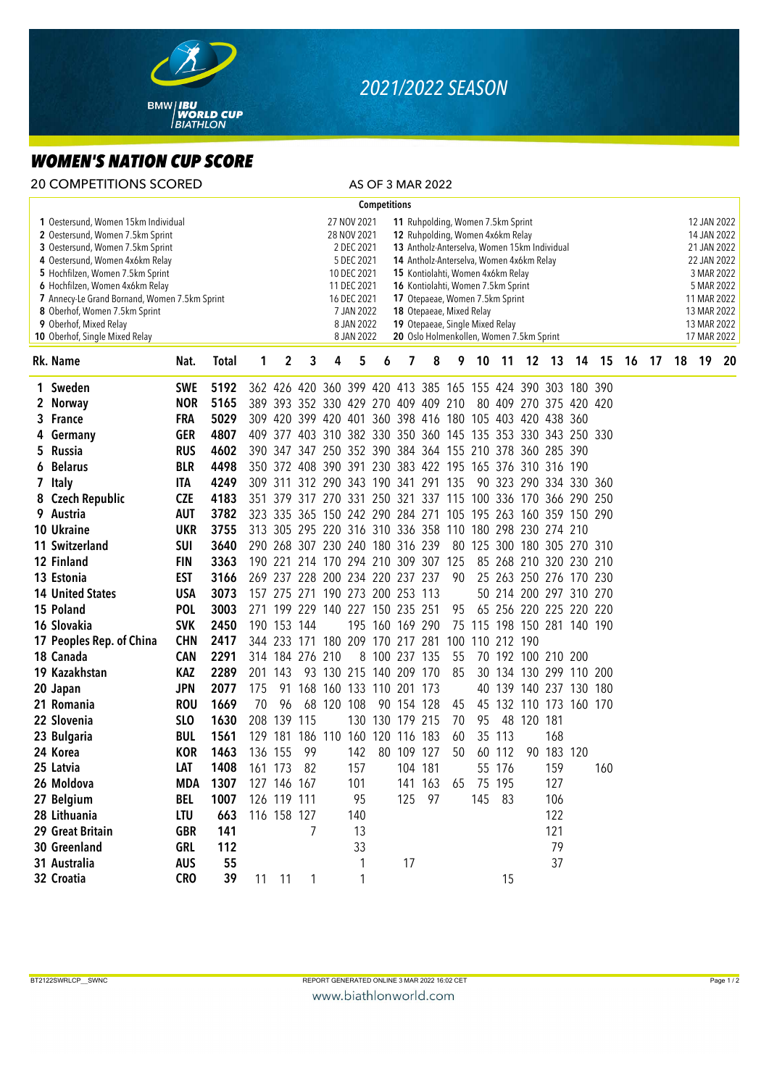

## *2021/2022 SEASON*

## *WOMEN'S NATION CUP SCORE*

| <b>20 COMPETITIONS SCORED</b>                                                                                                                                                                                                                                                                                                                                       |            |              |     |                                                                                                                                                                                                                                                                                                                                                                                                                                                                                                                                             |                 |                                     |     |                     |                 | AS OF 3 MAR 2022 |    |                                                             |        |            |                    |                        |       |    |                                                                                                                                                  |  |          |    |  |
|---------------------------------------------------------------------------------------------------------------------------------------------------------------------------------------------------------------------------------------------------------------------------------------------------------------------------------------------------------------------|------------|--------------|-----|---------------------------------------------------------------------------------------------------------------------------------------------------------------------------------------------------------------------------------------------------------------------------------------------------------------------------------------------------------------------------------------------------------------------------------------------------------------------------------------------------------------------------------------------|-----------------|-------------------------------------|-----|---------------------|-----------------|------------------|----|-------------------------------------------------------------|--------|------------|--------------------|------------------------|-------|----|--------------------------------------------------------------------------------------------------------------------------------------------------|--|----------|----|--|
|                                                                                                                                                                                                                                                                                                                                                                     |            |              |     |                                                                                                                                                                                                                                                                                                                                                                                                                                                                                                                                             |                 |                                     |     | <b>Competitions</b> |                 |                  |    |                                                             |        |            |                    |                        |       |    |                                                                                                                                                  |  |          |    |  |
| 1 Oestersund, Women 15km Individual<br>2 Oestersund, Women 7.5km Sprint<br>3 Oestersund, Women 7.5km Sprint<br>4 Oestersund, Women 4x6km Relay<br>5 Hochfilzen, Women 7.5km Sprint<br>6 Hochfilzen, Women 4x6km Relay<br>7 Annecy-Le Grand Bornand, Women 7.5km Sprint<br>8 Oberhof, Women 7.5km Sprint<br>9 Oberhof, Mixed Relay<br>10 Oberhof, Single Mixed Relay |            |              |     | 27 NOV 2021<br>11 Ruhpolding, Women 7.5km Sprint<br>12 Ruhpolding, Women 4x6km Relay<br>28 NOV 2021<br>2 DEC 2021<br>13 Antholz-Anterselva, Women 15km Individual<br>5 DEC 2021<br>14 Antholz-Anterselva, Women 4x6km Relay<br>10 DEC 2021<br>15 Kontiolahti, Women 4x6km Relay<br>11 DEC 2021<br>16 Kontiolahti, Women 7.5km Sprint<br>16 DEC 2021<br>17 Otepaeae, Women 7.5km Sprint<br>7 JAN 2022<br>18 Otepaeae, Mixed Relay<br>8 JAN 2022<br>19 Otepaeae, Single Mixed Relay<br>20 Oslo Holmenkollen, Women 7.5km Sprint<br>8 JAN 2022 |                 |                                     |     |                     |                 |                  |    |                                                             |        |            |                    |                        |       |    | 12 JAN 2022<br>14 JAN 2022<br>21 JAN 2022<br>22 JAN 2022<br>3 MAR 2022<br>5 MAR 2022<br>11 MAR 2022<br>13 MAR 2022<br>13 MAR 2022<br>17 MAR 2022 |  |          |    |  |
| Rk. Name                                                                                                                                                                                                                                                                                                                                                            | Nat.       | <b>Total</b> | 1   | 2                                                                                                                                                                                                                                                                                                                                                                                                                                                                                                                                           | 3               | 4                                   | 5   | 6                   | 7               | 8                | 9  | 10                                                          | $-11$  |            | 12 13              |                        | 14 15 | 16 |                                                                                                                                                  |  | 17 18 19 | 20 |  |
| 1 Sweden                                                                                                                                                                                                                                                                                                                                                            | <b>SWE</b> | 5192         |     |                                                                                                                                                                                                                                                                                                                                                                                                                                                                                                                                             |                 |                                     |     |                     |                 |                  |    | 362 426 420 360 399 420 413 385 165 155 424 390 303 180 390 |        |            |                    |                        |       |    |                                                                                                                                                  |  |          |    |  |
| 2 Norway                                                                                                                                                                                                                                                                                                                                                            | <b>NOR</b> | 5165         |     |                                                                                                                                                                                                                                                                                                                                                                                                                                                                                                                                             |                 | 389 393 352 330 429 270 409 409 210 |     |                     |                 |                  |    |                                                             |        |            |                    | 80 409 270 375 420 420 |       |    |                                                                                                                                                  |  |          |    |  |
| 3 France                                                                                                                                                                                                                                                                                                                                                            | <b>FRA</b> | 5029         |     |                                                                                                                                                                                                                                                                                                                                                                                                                                                                                                                                             |                 |                                     |     |                     |                 |                  |    | 309 420 399 420 401 360 398 416 180 105 403 420 438 360     |        |            |                    |                        |       |    |                                                                                                                                                  |  |          |    |  |
| 4 Germany                                                                                                                                                                                                                                                                                                                                                           | <b>GER</b> | 4807         |     |                                                                                                                                                                                                                                                                                                                                                                                                                                                                                                                                             |                 |                                     |     |                     |                 |                  |    | 409 377 403 310 382 330 350 360 145 135 353 330 343 250 330 |        |            |                    |                        |       |    |                                                                                                                                                  |  |          |    |  |
| 5 Russia                                                                                                                                                                                                                                                                                                                                                            | <b>RUS</b> | 4602         |     |                                                                                                                                                                                                                                                                                                                                                                                                                                                                                                                                             |                 |                                     |     |                     |                 |                  |    | 390 347 347 250 352 390 384 364 155 210 378 360 285 390     |        |            |                    |                        |       |    |                                                                                                                                                  |  |          |    |  |
| <b>Belarus</b><br>6                                                                                                                                                                                                                                                                                                                                                 | <b>BLR</b> | 4498         |     |                                                                                                                                                                                                                                                                                                                                                                                                                                                                                                                                             |                 |                                     |     |                     |                 |                  |    | 350 372 408 390 391 230 383 422 195 165 376 310 316 190     |        |            |                    |                        |       |    |                                                                                                                                                  |  |          |    |  |
| 7 Italy                                                                                                                                                                                                                                                                                                                                                             | ITA        | 4249         |     |                                                                                                                                                                                                                                                                                                                                                                                                                                                                                                                                             |                 | 309 311 312 290 343 190 341 291 135 |     |                     |                 |                  |    |                                                             |        |            |                    | 90 323 290 334 330 360 |       |    |                                                                                                                                                  |  |          |    |  |
| 8 Czech Republic                                                                                                                                                                                                                                                                                                                                                    | <b>CZE</b> | 4183         |     |                                                                                                                                                                                                                                                                                                                                                                                                                                                                                                                                             |                 |                                     |     |                     |                 |                  |    | 351 379 317 270 331 250 321 337 115 100 336 170 366 290 250 |        |            |                    |                        |       |    |                                                                                                                                                  |  |          |    |  |
| 9 Austria                                                                                                                                                                                                                                                                                                                                                           | <b>AUT</b> | 3782         |     |                                                                                                                                                                                                                                                                                                                                                                                                                                                                                                                                             |                 |                                     |     |                     |                 |                  |    | 323 335 365 150 242 290 284 271 105 195 263 160 359 150 290 |        |            |                    |                        |       |    |                                                                                                                                                  |  |          |    |  |
| 10 Ukraine                                                                                                                                                                                                                                                                                                                                                          | <b>UKR</b> | 3755         |     |                                                                                                                                                                                                                                                                                                                                                                                                                                                                                                                                             |                 |                                     |     |                     |                 |                  |    | 313 305 295 220 316 310 336 358 110 180 298 230 274 210     |        |            |                    |                        |       |    |                                                                                                                                                  |  |          |    |  |
| 11 Switzerland                                                                                                                                                                                                                                                                                                                                                      | <b>SUI</b> | 3640         |     |                                                                                                                                                                                                                                                                                                                                                                                                                                                                                                                                             |                 | 290 268 307 230 240 180 316 239     |     |                     |                 |                  |    | 80 125 300 180 305 270 310                                  |        |            |                    |                        |       |    |                                                                                                                                                  |  |          |    |  |
| 12 Finland                                                                                                                                                                                                                                                                                                                                                          | <b>FIN</b> | 3363         |     |                                                                                                                                                                                                                                                                                                                                                                                                                                                                                                                                             |                 | 190 221 214 170 294 210 309 307 125 |     |                     |                 |                  |    |                                                             |        |            |                    | 85 268 210 320 230 210 |       |    |                                                                                                                                                  |  |          |    |  |
| 13 Estonia                                                                                                                                                                                                                                                                                                                                                          | <b>EST</b> | 3166         |     |                                                                                                                                                                                                                                                                                                                                                                                                                                                                                                                                             |                 | 269 237 228 200 234 220 237 237     |     |                     |                 |                  | 90 |                                                             |        |            |                    | 25 263 250 276 170 230 |       |    |                                                                                                                                                  |  |          |    |  |
| <b>14 United States</b>                                                                                                                                                                                                                                                                                                                                             | <b>USA</b> | 3073         |     |                                                                                                                                                                                                                                                                                                                                                                                                                                                                                                                                             |                 | 157 275 271 190 273 200 253 113     |     |                     |                 |                  |    |                                                             |        |            |                    | 50 214 200 297 310 270 |       |    |                                                                                                                                                  |  |          |    |  |
| 15 Poland                                                                                                                                                                                                                                                                                                                                                           | <b>POL</b> | 3003         |     |                                                                                                                                                                                                                                                                                                                                                                                                                                                                                                                                             |                 | 271 199 229 140 227 150 235 251     |     |                     |                 |                  | 95 |                                                             |        |            |                    | 65 256 220 225 220 220 |       |    |                                                                                                                                                  |  |          |    |  |
| 16 Slovakia                                                                                                                                                                                                                                                                                                                                                         | <b>SVK</b> | 2450         |     | 190 153 144                                                                                                                                                                                                                                                                                                                                                                                                                                                                                                                                 |                 |                                     |     |                     | 195 160 169 290 |                  |    | 75 115 198 150 281 140 190                                  |        |            |                    |                        |       |    |                                                                                                                                                  |  |          |    |  |
| 17 Peoples Rep. of China                                                                                                                                                                                                                                                                                                                                            | <b>CHN</b> | 2417         |     |                                                                                                                                                                                                                                                                                                                                                                                                                                                                                                                                             |                 | 344 233 171 180 209 170 217 281     |     |                     |                 |                  |    | 100 110 212 190                                             |        |            |                    |                        |       |    |                                                                                                                                                  |  |          |    |  |
| 18 Canada                                                                                                                                                                                                                                                                                                                                                           | <b>CAN</b> | 2291         |     |                                                                                                                                                                                                                                                                                                                                                                                                                                                                                                                                             | 314 184 276 210 |                                     |     |                     | 8 100 237 135   |                  | 55 |                                                             |        |            | 70 192 100 210 200 |                        |       |    |                                                                                                                                                  |  |          |    |  |
| 19 Kazakhstan                                                                                                                                                                                                                                                                                                                                                       | <b>KAZ</b> | 2289         |     | 201 143                                                                                                                                                                                                                                                                                                                                                                                                                                                                                                                                     |                 | 93 130 215 140 209 170              |     |                     |                 |                  | 85 |                                                             |        |            |                    | 30 134 130 299 110 200 |       |    |                                                                                                                                                  |  |          |    |  |
| 20 Japan                                                                                                                                                                                                                                                                                                                                                            | <b>JPN</b> | 2077         | 175 |                                                                                                                                                                                                                                                                                                                                                                                                                                                                                                                                             |                 | 91 168 160 133 110 201 173          |     |                     |                 |                  |    |                                                             |        |            |                    | 40 139 140 237 130 180 |       |    |                                                                                                                                                  |  |          |    |  |
| 21 Romania                                                                                                                                                                                                                                                                                                                                                          | <b>ROU</b> | 1669         | 70  | 96                                                                                                                                                                                                                                                                                                                                                                                                                                                                                                                                          |                 | 68 120 108                          |     |                     | 90 154 128      |                  | 45 |                                                             |        |            |                    | 45 132 110 173 160 170 |       |    |                                                                                                                                                  |  |          |    |  |
| 22 Slovenia                                                                                                                                                                                                                                                                                                                                                         | <b>SLO</b> | 1630         |     | 208 139                                                                                                                                                                                                                                                                                                                                                                                                                                                                                                                                     | 115             |                                     |     |                     | 130 130 179 215 |                  | 70 | 95                                                          |        | 48 120 181 |                    |                        |       |    |                                                                                                                                                  |  |          |    |  |
| 23 Bulgaria                                                                                                                                                                                                                                                                                                                                                         | <b>BUL</b> | 1561         |     |                                                                                                                                                                                                                                                                                                                                                                                                                                                                                                                                             |                 | 129 181 186 110 160 120 116 183     |     |                     |                 |                  | 60 |                                                             | 35 113 |            | 168                |                        |       |    |                                                                                                                                                  |  |          |    |  |
| 24 Korea                                                                                                                                                                                                                                                                                                                                                            | <b>KOR</b> | 1463         |     | 136 155 99                                                                                                                                                                                                                                                                                                                                                                                                                                                                                                                                  |                 |                                     | 142 |                     | 80 109 127      |                  | 50 |                                                             | 60 112 |            | 90 183 120         |                        |       |    |                                                                                                                                                  |  |          |    |  |
| 25 Latvia                                                                                                                                                                                                                                                                                                                                                           | LAT        | 1408         |     | 161 173 82                                                                                                                                                                                                                                                                                                                                                                                                                                                                                                                                  |                 |                                     | 157 |                     | 104 181         |                  |    |                                                             | 55 176 |            | 159                |                        | 160   |    |                                                                                                                                                  |  |          |    |  |
| 26 Moldova                                                                                                                                                                                                                                                                                                                                                          | MDA        | 1307         |     | 127 146 167                                                                                                                                                                                                                                                                                                                                                                                                                                                                                                                                 |                 |                                     | 101 |                     |                 | 141 163          | 65 |                                                             | 75 195 |            | 127                |                        |       |    |                                                                                                                                                  |  |          |    |  |
| 27 Belgium                                                                                                                                                                                                                                                                                                                                                          | <b>BEL</b> | 1007         |     | 126 119 111                                                                                                                                                                                                                                                                                                                                                                                                                                                                                                                                 |                 |                                     | 95  |                     |                 | 125 97           |    |                                                             | 145 83 |            | 106                |                        |       |    |                                                                                                                                                  |  |          |    |  |
| 28 Lithuania                                                                                                                                                                                                                                                                                                                                                        | LTU        | 663          |     | 116 158 127                                                                                                                                                                                                                                                                                                                                                                                                                                                                                                                                 |                 |                                     | 140 |                     |                 |                  |    |                                                             |        |            | 122                |                        |       |    |                                                                                                                                                  |  |          |    |  |
| 29 Great Britain                                                                                                                                                                                                                                                                                                                                                    | <b>GBR</b> | 141          |     |                                                                                                                                                                                                                                                                                                                                                                                                                                                                                                                                             | 7               |                                     | 13  |                     |                 |                  |    |                                                             |        |            | 121                |                        |       |    |                                                                                                                                                  |  |          |    |  |
| 30 Greenland                                                                                                                                                                                                                                                                                                                                                        | GRL        | 112          |     |                                                                                                                                                                                                                                                                                                                                                                                                                                                                                                                                             |                 |                                     | 33  |                     |                 |                  |    |                                                             |        |            | 79                 |                        |       |    |                                                                                                                                                  |  |          |    |  |
| 31 Australia                                                                                                                                                                                                                                                                                                                                                        | <b>AUS</b> | 55           |     |                                                                                                                                                                                                                                                                                                                                                                                                                                                                                                                                             |                 |                                     | 1   |                     | 17              |                  |    |                                                             |        |            | 37                 |                        |       |    |                                                                                                                                                  |  |          |    |  |
| 32 Croatia                                                                                                                                                                                                                                                                                                                                                          | <b>CRO</b> | 39           |     | 11 11                                                                                                                                                                                                                                                                                                                                                                                                                                                                                                                                       |                 |                                     |     |                     |                 |                  |    |                                                             | 15     |            |                    |                        |       |    |                                                                                                                                                  |  |          |    |  |